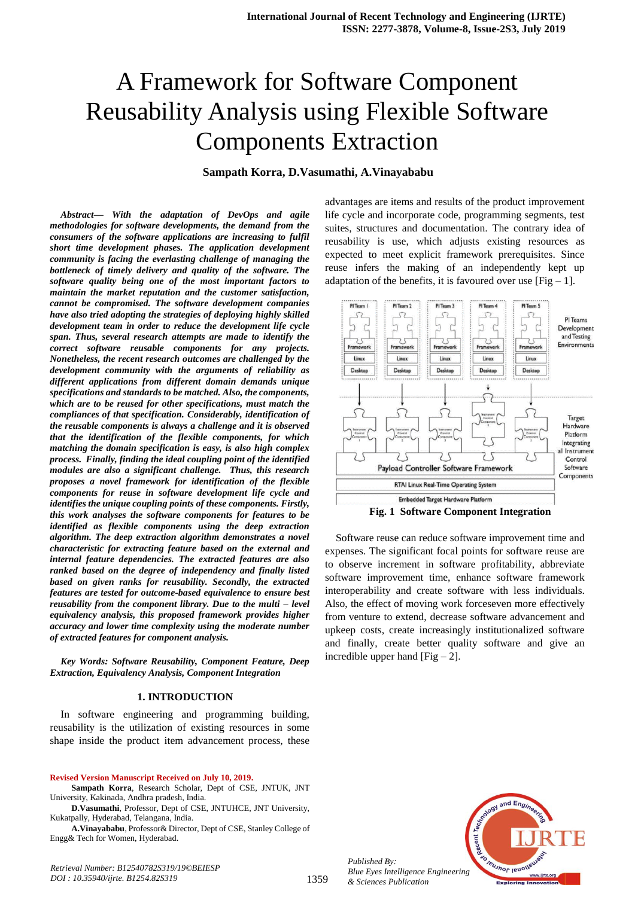# A Framework for Software Component Reusability Analysis using Flexible Software Components Extraction

# **Sampath Korra, D.Vasumathi, A.Vinayababu**

*Abstract***—** *With the adaptation of DevOps and agile methodologies for software developments, the demand from the consumers of the software applications are increasing to fulfil short time development phases. The application development community is facing the everlasting challenge of managing the bottleneck of timely delivery and quality of the software. The software quality being one of the most important factors to maintain the market reputation and the customer satisfaction, cannot be compromised. The software development companies have also tried adopting the strategies of deploying highly skilled development team in order to reduce the development life cycle span. Thus, several research attempts are made to identify the correct software reusable components for any projects. Nonetheless, the recent research outcomes are challenged by the development community with the arguments of reliability as different applications from different domain demands unique specifications and standards to be matched. Also, the components, which are to be reused for other specifications, must match the compliances of that specification. Considerably, identification of the reusable components is always a challenge and it is observed that the identification of the flexible components, for which matching the domain specification is easy, is also high complex process. Finally, finding the ideal coupling point of the identified modules are also a significant challenge. Thus, this research proposes a novel framework for identification of the flexible components for reuse in software development life cycle and identifies the unique coupling points of these components. Firstly, this work analyses the software components for features to be identified as flexible components using the deep extraction algorithm. The deep extraction algorithm demonstrates a novel characteristic for extracting feature based on the external and internal feature dependencies. The extracted features are also ranked based on the degree of independency and finally listed based on given ranks for reusability. Secondly, the extracted features are tested for outcome-based equivalence to ensure best reusability from the component library. Due to the multi – level equivalency analysis, this proposed framework provides higher accuracy and lower time complexity using the moderate number of extracted features for component analysis.*

*Key Words: Software Reusability, Component Feature, Deep Extraction, Equivalency Analysis, Component Integration*

#### **1. INTRODUCTION**

In software engineering and programming building, reusability is the utilization of existing resources in some shape inside the product item advancement process, these

#### **Revised Version Manuscript Received on July 10, 2019.**

*DOI : 10.35940/ijrte. B1254.82S319*

**Sampath Korra**, Research Scholar, Dept of CSE, JNTUK, JNT University, Kakinada, Andhra pradesh, India.

**D.Vasumathi**, Professor, Dept of CSE, JNTUHCE, JNT University, Kukatpally, Hyderabad, Telangana, India.

**A.Vinayababu**, Professor& Director, Dept of CSE, Stanley College of Engg& Tech for Women, Hyderabad.

advantages are items and results of the product improvement life cycle and incorporate code, programming segments, test suites, structures and documentation. The contrary idea of reusability is use, which adjusts existing resources as expected to meet explicit framework prerequisites. Since reuse infers the making of an independently kept up adaptation of the benefits, it is favoured over use  $[Fig - 1]$ .



**Fig. 1 Software Component Integration**

Software reuse can reduce software improvement time and expenses. The significant focal points for software reuse are to observe increment in software profitability, abbreviate software improvement time, enhance software framework interoperability and create software with less individuals. Also, the effect of moving work forceseven more effectively from venture to extend, decrease software advancement and upkeep costs, create increasingly institutionalized software and finally, create better quality software and give an incredible upper hand  $[Fig - 2]$ .



*Published By: Blue Eyes Intelligence Engineering & Sciences Publication* 

1359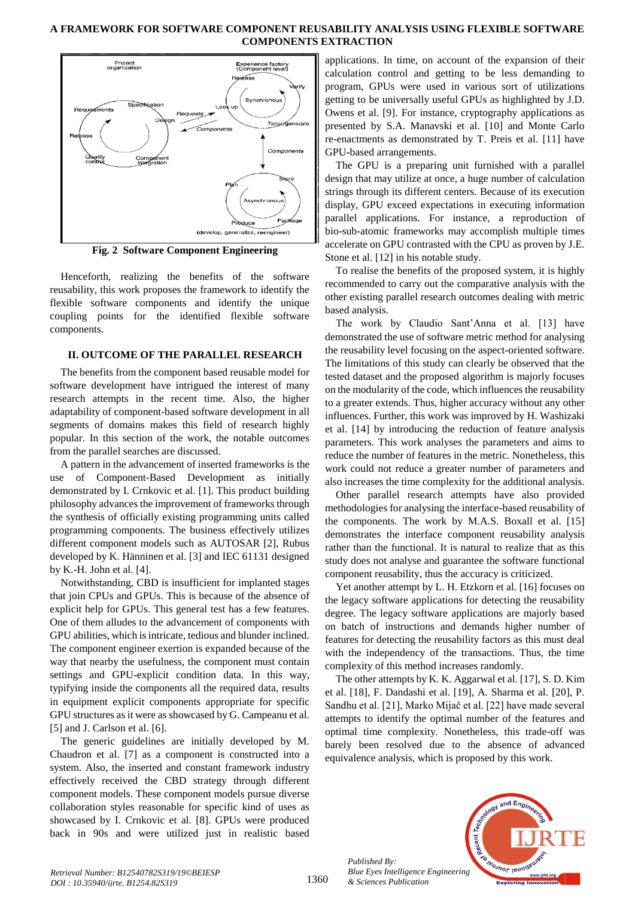

**Fig. 2 Software Component Engineering**

Henceforth, realizing the benefits of the software reusability, this work proposes the framework to identify the flexible software components and identify the unique coupling points for the identified flexible software components.

#### **II. OUTCOME OF THE PARALLEL RESEARCH**

The benefits from the component based reusable model for software development have intrigued the interest of many research attempts in the recent time. Also, the higher adaptability of component-based software development in all segments of domains makes this field of research highly popular. In this section of the work, the notable outcomes from the parallel searches are discussed.

A pattern in the advancement of inserted frameworks is the use of Component-Based Development as initially demonstrated by I. Crnkovic et al. [1]. This product building philosophy advances the improvement of frameworks through the synthesis of officially existing programming units called programming components. The business effectively utilizes different component models such as AUTOSAR [2], Rubus developed by K. Hänninen et al. [3] and IEC 61131 designed by K.-H. John et al. [4].

Notwithstanding, CBD is insufficient for implanted stages that join CPUs and GPUs. This is because of the absence of explicit help for GPUs. This general test has a few features. One of them alludes to the advancement of components with GPU abilities, which is intricate, tedious and blunder inclined. The component engineer exertion is expanded because of the way that nearby the usefulness, the component must contain settings and GPU-explicit condition data. In this way, typifying inside the components all the required data, results in equipment explicit components appropriate for specific GPU structures as it were as showcased by G. Campeanu et al. [5] and J. Carlson et al. [6].

The generic guidelines are initially developed by M. Chaudron et al. [7] as a component is constructed into a system. Also, the inserted and constant framework industry effectively received the CBD strategy through different component models. These component models pursue diverse collaboration styles reasonable for specific kind of uses as showcased by I. Crnkovic et al. [8]. GPUs were produced back in 90s and were utilized just in realistic based applications. In time, on account of the expansion of their calculation control and getting to be less demanding to program, GPUs were used in various sort of utilizations getting to be universally useful GPUs as highlighted by J.D. Owens et al. [9]. For instance, cryptography applications as presented by S.A. Manavski et al. [10] and Monte Carlo re-enactments as demonstrated by T. Preis et al. [11] have GPU-based arrangements.

The GPU is a preparing unit furnished with a parallel design that may utilize at once, a huge number of calculation strings through its different centers. Because of its execution display, GPU exceed expectations in executing information parallel applications. For instance, a reproduction of bio-sub-atomic frameworks may accomplish multiple times accelerate on GPU contrasted with the CPU as proven by J.E. Stone et al. [12] in his notable study.

To realise the benefits of the proposed system, it is highly recommended to carry out the comparative analysis with the other existing parallel research outcomes dealing with metric based analysis.

The work by Claudio Sant'Anna et al. [13] have demonstrated the use of software metric method for analysing the reusability level focusing on the aspect-oriented software. The limitations of this study can clearly be observed that the tested dataset and the proposed algorithm is majorly focuses on the modularity of the code, which influences the reusability to a greater extends. Thus, higher accuracy without any other influences. Further, this work was improved by H. Washizaki et al. [14] by introducing the reduction of feature analysis parameters. This work analyses the parameters and aims to reduce the number of features in the metric. Nonetheless, this work could not reduce a greater number of parameters and also increases the time complexity for the additional analysis.

Other parallel research attempts have also provided methodologies for analysing the interface-based reusability of the components. The work by M.A.S. Boxall et al. [15] demonstrates the interface component reusability analysis rather than the functional. It is natural to realize that as this study does not analyse and guarantee the software functional component reusability, thus the accuracy is criticized.

Yet another attempt by L. H. Etzkorn et al. [16] focuses on the legacy software applications for detecting the reusability degree. The legacy software applications are majorly based on batch of instructions and demands higher number of features for detecting the reusability factors as this must deal with the independency of the transactions. Thus, the time complexity of this method increases randomly.

The other attempts by K. K. Aggarwal et al. [17], S. D. Kim et al. [18], F. Dandashi et al. [19], A. Sharma et al. [20], P. Sandhu et al. [21], Marko Mijač et al. [22] have made several attempts to identify the optimal number of the features and optimal time complexity. Nonetheless, this trade-off was barely been resolved due to the absence of advanced equivalence analysis, which is proposed by this work.



*Published By: Blue Eyes Intelligence Engineering & Sciences Publication* 

1360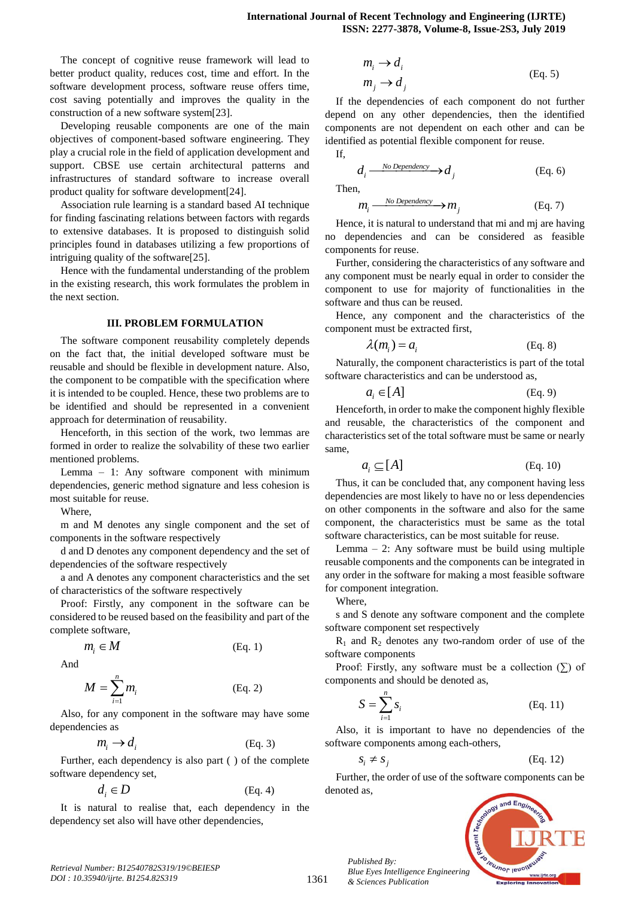The concept of cognitive reuse framework will lead to better product quality, reduces cost, time and effort. In the software development process, software reuse offers time, cost saving potentially and improves the quality in the construction of a new software system[23].

Developing reusable components are one of the main objectives of component-based software engineering. They play a crucial role in the field of application development and support. CBSE use certain architectural patterns and infrastructures of standard software to increase overall product quality for software development[24].

Association rule learning is a standard based AI technique for finding fascinating relations between factors with regards to extensive databases. It is proposed to distinguish solid principles found in databases utilizing a few proportions of intriguing quality of the software[25].

Hence with the fundamental understanding of the problem in the existing research, this work formulates the problem in the next section.

#### **III. PROBLEM FORMULATION**

The software component reusability completely depends on the fact that, the initial developed software must be reusable and should be flexible in development nature. Also, the component to be compatible with the specification where it is intended to be coupled. Hence, these two problems are to be identified and should be represented in a convenient approach for determination of reusability.

Henceforth, in this section of the work, two lemmas are formed in order to realize the solvability of these two earlier mentioned problems.

Lemma – 1: Any software component with minimum dependencies, generic method signature and less cohesion is most suitable for reuse.

Where,

m and M denotes any single component and the set of components in the software respectively

d and D denotes any component dependency and the set of dependencies of the software respectively

a and A denotes any component characteristics and the set of characteristics of the software respectively

Proof: Firstly, any component in the software can be considered to be reused based on the feasibility and part of the complete software,

$$
m_i \in M \tag{Eq. 1}
$$

And

$$
M = \sum_{i=1}^{n} m_i \tag{Eq. 2}
$$

Also, for any component in the software may have some dependencies as

$$
m_i \to d_i \tag{Eq. 3}
$$

Further, each dependency is also part ( ) of the complete software dependency set,

$$
d_i \in D \tag{Eq. 4}
$$

It is natural to realise that, each dependency in the dependency set also will have other dependencies,

$$
m_i \to d_i
$$
  
\n
$$
m_j \to d_j
$$
 (Eq. 5)

If the dependencies of each component do not further depend on any other dependencies, then the identified components are not dependent on each other and can be identified as potential flexible component for reuse. If,

$$
d_i \xrightarrow{No Dependercy} d_j
$$
 (Eq. 6)  
Then,

$$
m_i \xrightarrow{\text{No Dependercy}} m_j \tag{Eq. 7}
$$

Hence, it is natural to understand that mi and mj are having no dependencies and can be considered as feasible components for reuse.

Further, considering the characteristics of any software and any component must be nearly equal in order to consider the component to use for majority of functionalities in the software and thus can be reused.

Hence, any component and the characteristics of the component must be extracted first,

$$
\lambda(m_i) = a_i \tag{Eq. 8}
$$

Naturally, the component characteristics is part of the total software characteristics and can be understood as,

$$
a_i \in [A] \tag{Eq. 9}
$$

Henceforth, in order to make the component highly flexible and reusable, the characteristics of the component and characteristics set of the total software must be same or nearly same,

$$
a_i \subseteq [A] \tag{Eq. 10}
$$

Thus, it can be concluded that, any component having less dependencies are most likely to have no or less dependencies on other components in the software and also for the same component, the characteristics must be same as the total software characteristics, can be most suitable for reuse.

Lemma  $-2$ : Any software must be build using multiple reusable components and the components can be integrated in any order in the software for making a most feasible software for component integration.

Where,

s and S denote any software component and the complete software component set respectively

 $R_1$  and  $R_2$  denotes any two-random order of use of the software components

Proof: Firstly, any software must be a collection  $(\Sigma)$  of components and should be denoted as,

$$
S = \sum_{i=1}^{n} s_i
$$
 (Eq. 11)

Also, it is important to have no dependencies of the software components among each-others,

$$
S_i \neq S_j \tag{Eq. 12}
$$

Further, the order of use of the software components can be denoted as,



*Published By:*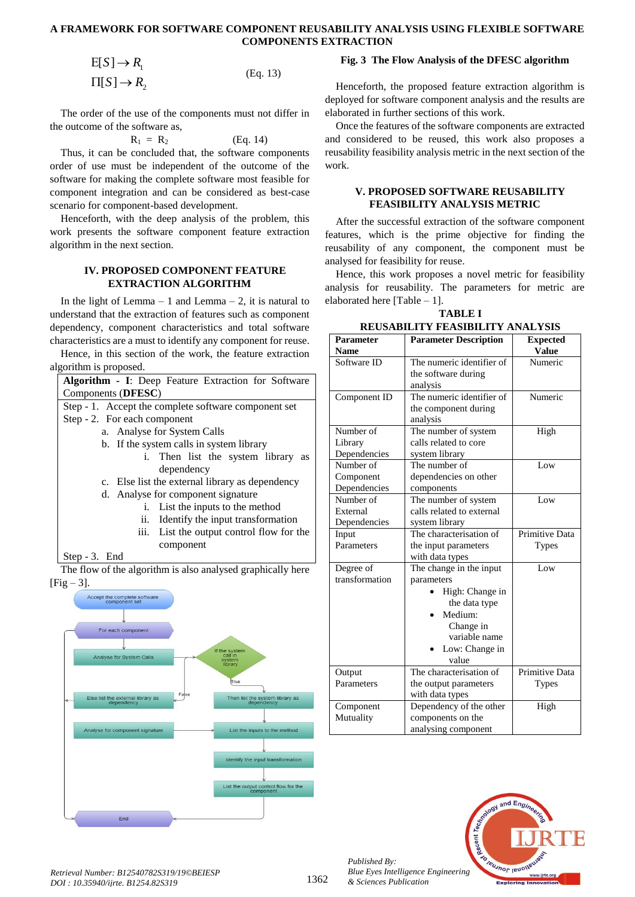$$
E[S] \to R_1
$$
  
\n
$$
\Pi[S] \to R_2
$$
 (Eq. 13)

The order of the use of the components must not differ in the outcome of the software as,

$$
\mathbf{R}_1 = \mathbf{R}_2 \tag{Eq. 14}
$$

Thus, it can be concluded that, the software components order of use must be independent of the outcome of the software for making the complete software most feasible for component integration and can be considered as best-case scenario for component-based development.

Henceforth, with the deep analysis of the problem, this work presents the software component feature extraction algorithm in the next section.

#### **IV. PROPOSED COMPONENT FEATURE EXTRACTION ALGORITHM**

In the light of Lemma – 1 and Lemma – 2, it is natural to understand that the extraction of features such as component dependency, component characteristics and total software characteristics are a must to identify any component for reuse.

Hence, in this section of the work, the feature extraction algorithm is proposed.

| <b>Algorithm - I:</b> Deep Feature Extraction for Software   |
|--------------------------------------------------------------|
| Components (DFESC)                                           |
| Step - 1. Accept the complete software component set         |
| Step - 2. For each component                                 |
| a. Analyse for System Calls                                  |
| b. If the system calls in system library                     |
| i. Then list the system library as                           |
| dependency                                                   |
| c. Else list the external library as dependency              |
| d. Analyse for component signature                           |
| List the inputs to the method                                |
| Identify the input transformation<br>11.                     |
| iii.<br>List the output control flow for the                 |
| component                                                    |
| Step $-3$ . End                                              |
| The flow of the elgebrithm is also applyeed graphically here |



#### **Fig. 3 The Flow Analysis of the DFESC algorithm**

Henceforth, the proposed feature extraction algorithm is deployed for software component analysis and the results are elaborated in further sections of this work.

Once the features of the software components are extracted and considered to be reused, this work also proposes a reusability feasibility analysis metric in the next section of the work.

#### **V. PROPOSED SOFTWARE REUSABILITY FEASIBILITY ANALYSIS METRIC**

After the successful extraction of the software component features, which is the prime objective for finding the reusability of any component, the component must be analysed for feasibility for reuse.

Hence, this work proposes a novel metric for feasibility analysis for reusability. The parameters for metric are elaborated here [Table – 1].

**TABLE I REUSABILITY FEASIBILITY ANALYSIS**

| Regsadilit i Feasibilit i Aral isis |                              |                 |  |  |  |  |
|-------------------------------------|------------------------------|-----------------|--|--|--|--|
| <b>Parameter</b>                    | <b>Parameter Description</b> | <b>Expected</b> |  |  |  |  |
| <b>Name</b>                         |                              | <b>Value</b>    |  |  |  |  |
| Software ID                         | The numeric identifier of    | Numeric         |  |  |  |  |
|                                     | the software during          |                 |  |  |  |  |
|                                     | analysis                     |                 |  |  |  |  |
| Component ID                        | The numeric identifier of    | Numeric         |  |  |  |  |
|                                     | the component during         |                 |  |  |  |  |
|                                     | analysis                     |                 |  |  |  |  |
| Number of                           | The number of system         | High            |  |  |  |  |
| Library                             | calls related to core        |                 |  |  |  |  |
| Dependencies                        | system library               |                 |  |  |  |  |
| Number of                           | The number of                | Low             |  |  |  |  |
| Component                           | dependencies on other        |                 |  |  |  |  |
| Dependencies                        | components                   |                 |  |  |  |  |
| Number of                           | The number of system         | Low             |  |  |  |  |
| External                            | calls related to external    |                 |  |  |  |  |
| Dependencies                        | system library               |                 |  |  |  |  |
| Input                               | The characterisation of      | Primitive Data  |  |  |  |  |
| Parameters                          | the input parameters         | <b>Types</b>    |  |  |  |  |
|                                     | with data types              |                 |  |  |  |  |
| Degree of                           | The change in the input      | Low             |  |  |  |  |
| transformation                      | parameters                   |                 |  |  |  |  |
|                                     | High: Change in              |                 |  |  |  |  |
|                                     | the data type                |                 |  |  |  |  |
|                                     | Medium:                      |                 |  |  |  |  |
|                                     | Change in                    |                 |  |  |  |  |
|                                     | variable name                |                 |  |  |  |  |
|                                     | Low: Change in               |                 |  |  |  |  |
|                                     | value                        |                 |  |  |  |  |
| Output                              | The characterisation of      | Primitive Data  |  |  |  |  |
| Parameters                          | the output parameters        | <b>Types</b>    |  |  |  |  |
|                                     | with data types              |                 |  |  |  |  |
| Component                           | Dependency of the other      | High            |  |  |  |  |
| Mutuality                           | components on the            |                 |  |  |  |  |
|                                     | analysing component          |                 |  |  |  |  |



*Published By:*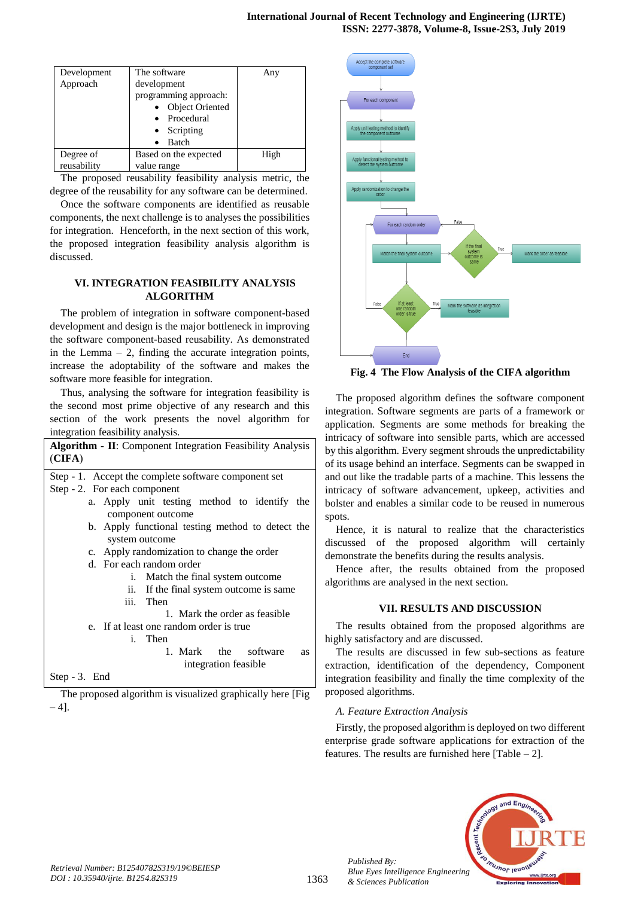| Development | The software          | Any  |
|-------------|-----------------------|------|
| Approach    | development           |      |
|             | programming approach: |      |
|             | Object Oriented       |      |
|             | • Procedural          |      |
|             | $\bullet$ Scripting   |      |
|             | Batch<br>$\bullet$    |      |
| Degree of   | Based on the expected | High |
| reusability | value range           |      |

The proposed reusability feasibility analysis metric, the degree of the reusability for any software can be determined.

Once the software components are identified as reusable components, the next challenge is to analyses the possibilities for integration. Henceforth, in the next section of this work, the proposed integration feasibility analysis algorithm is discussed.

# **VI. INTEGRATION FEASIBILITY ANALYSIS ALGORITHM**

The problem of integration in software component-based development and design is the major bottleneck in improving the software component-based reusability. As demonstrated in the Lemma  $-2$ , finding the accurate integration points, increase the adoptability of the software and makes the software more feasible for integration.

Thus, analysing the software for integration feasibility is the second most prime objective of any research and this section of the work presents the novel algorithm for integration feasibility analysis.

| Algorithm - II: Component Integration Feasibility Analysis<br>(CIFA) |  |  |  |  |  |  |
|----------------------------------------------------------------------|--|--|--|--|--|--|
| Step - 1. Accept the complete software component set                 |  |  |  |  |  |  |
| Step - 2. For each component                                         |  |  |  |  |  |  |
| a. Apply unit testing method to identify the                         |  |  |  |  |  |  |
| component outcome                                                    |  |  |  |  |  |  |
| b. Apply functional testing method to detect the                     |  |  |  |  |  |  |
| system outcome                                                       |  |  |  |  |  |  |
| c. Apply randomization to change the order                           |  |  |  |  |  |  |
| d. For each random order                                             |  |  |  |  |  |  |
| i. Match the final system outcome                                    |  |  |  |  |  |  |
| If the final system outcome is same<br>ii.                           |  |  |  |  |  |  |
| iii. Then                                                            |  |  |  |  |  |  |
| 1. Mark the order as feasible                                        |  |  |  |  |  |  |
| e. If at least one random order is true                              |  |  |  |  |  |  |
| i. Then                                                              |  |  |  |  |  |  |
| 1. Mark the software<br><b>as</b>                                    |  |  |  |  |  |  |
| integration feasible                                                 |  |  |  |  |  |  |
| $Step - 3.$ End                                                      |  |  |  |  |  |  |

The proposed algorithm is visualized graphically here [Fig  $-4$ ].



**Fig. 4 The Flow Analysis of the CIFA algorithm**

The proposed algorithm defines the software component integration. Software segments are parts of a framework or application. Segments are some methods for breaking the intricacy of software into sensible parts, which are accessed by this algorithm. Every segment shrouds the unpredictability of its usage behind an interface. Segments can be swapped in and out like the tradable parts of a machine. This lessens the intricacy of software advancement, upkeep, activities and bolster and enables a similar code to be reused in numerous spots.

Hence, it is natural to realize that the characteristics discussed of the proposed algorithm will certainly demonstrate the benefits during the results analysis.

Hence after, the results obtained from the proposed algorithms are analysed in the next section.

# **VII. RESULTS AND DISCUSSION**

The results obtained from the proposed algorithms are highly satisfactory and are discussed.

The results are discussed in few sub-sections as feature extraction, identification of the dependency, Component integration feasibility and finally the time complexity of the proposed algorithms.

# *A. Feature Extraction Analysis*

Firstly, the proposed algorithm is deployed on two different enterprise grade software applications for extraction of the features. The results are furnished here  $[Table - 2]$ .



*Published By:*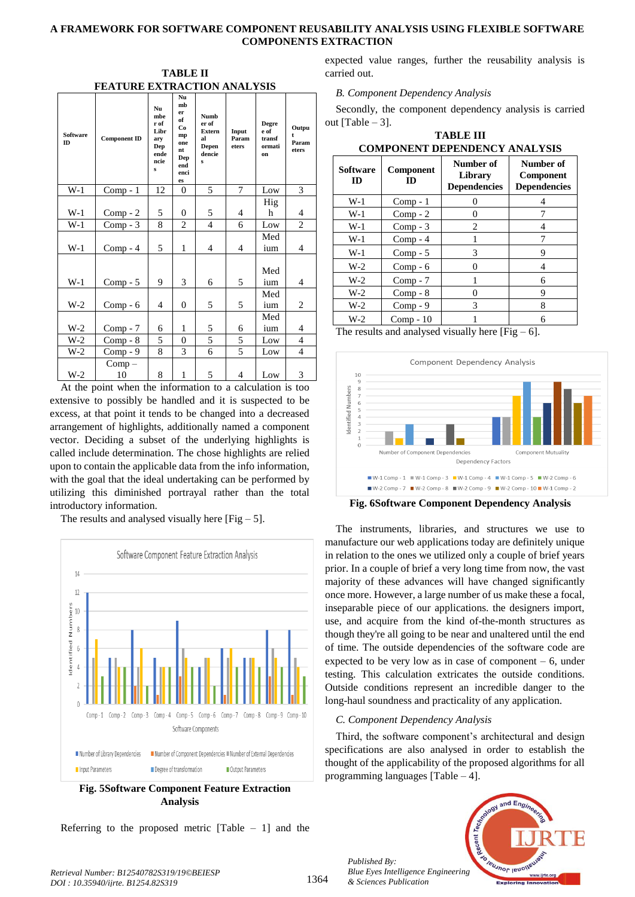**TABLE II FEATURE EXTRACTION ANALYSIS**

| <b>Software</b><br>ID | <b>Component ID</b> | Nu<br>mbe<br>r of<br>Libr<br>arv<br>Dep<br>ende<br>ncie<br>$\mathbf{s}$ | Nu<br>mb<br>er<br>of<br>Co<br>mp<br>one<br>nt<br>Dep<br>end<br>enci<br>es | <b>Numb</b><br>er of<br><b>Extern</b><br>al<br>Depen<br>dencie<br>s | Input<br>Param<br>eters | Degre<br>e of<br>transf<br>ormati<br>on | Outpu<br>Param<br>eters |
|-----------------------|---------------------|-------------------------------------------------------------------------|---------------------------------------------------------------------------|---------------------------------------------------------------------|-------------------------|-----------------------------------------|-------------------------|
| $W-1$                 | $Comp - 1$          | 12                                                                      | $\Omega$                                                                  | 5                                                                   | 7                       | Low                                     | 3                       |
| $W-1$                 | $Comp - 2$          | 5                                                                       | $\overline{0}$                                                            | 5                                                                   | $\overline{4}$          | Hig<br>h                                | 4                       |
| $W-1$                 | $Comp - 3$          | 8                                                                       | $\overline{c}$                                                            | $\overline{\mathcal{L}}$                                            | 6                       | Low                                     | $\overline{2}$          |
| $W-1$                 | $Comp - 4$          | 5                                                                       | 1                                                                         | 4                                                                   | $\overline{4}$          | Med<br>ium                              | 4                       |
| $W-1$                 | $Comp - 5$          | 9                                                                       | 3                                                                         | 6                                                                   | 5                       | Med<br>ium                              | 4                       |
| $W-2$                 | $Comp - 6$          | 4                                                                       | $\theta$                                                                  | 5                                                                   | 5                       | Med<br>ium                              | 2                       |
| $W-2$                 | $Comp - 7$          | 6                                                                       | 1                                                                         | 5                                                                   | 6                       | Med<br>ium                              | 4                       |
| $W-2$                 | $Comp - 8$          | 5                                                                       | $\theta$                                                                  | 5                                                                   | 5                       | Low                                     | 4                       |
| $W-2$                 | $Comp - 9$          | 8                                                                       | 3                                                                         | 6                                                                   | 5                       | Low                                     | $\overline{4}$          |
| $W-2$                 | $Comp -$<br>10      | 8                                                                       | 1                                                                         | 5                                                                   | $\overline{4}$          | Low                                     | 3                       |

At the point when the information to a calculation is too extensive to possibly be handled and it is suspected to be excess, at that point it tends to be changed into a decreased arrangement of highlights, additionally named a component vector. Deciding a subset of the underlying highlights is called include determination. The chose highlights are relied upon to contain the applicable data from the info information, with the goal that the ideal undertaking can be performed by utilizing this diminished portrayal rather than the total introductory information.

The results and analysed visually here  $[Fig - 5]$ .



**Fig. 5Software Component Feature Extraction Analysis**

Referring to the proposed metric  $[Table - 1]$  and the

expected value ranges, further the reusability analysis is carried out.

*B. Component Dependency Analysis* 

Secondly, the component dependency analysis is carried out [Table  $-3$ ].

| <b>COMPONENT DEPENDENCY ANALYSIS</b> |                 |                                             |                                               |  |  |
|--------------------------------------|-----------------|---------------------------------------------|-----------------------------------------------|--|--|
| <b>Software</b><br>ID                | Component<br>ID | Number of<br>Library<br><b>Dependencies</b> | Number of<br>Component<br><b>Dependencies</b> |  |  |
| $W-1$                                | $Comp - 1$      |                                             |                                               |  |  |
| $W-1$                                | $Comp - 2$      | 0                                           | 7                                             |  |  |
| $W-1$                                | $Comp - 3$      | 2                                           | 4                                             |  |  |
| $W-1$                                | $Comp - 4$      |                                             | 7                                             |  |  |
| $W-1$                                | $Comp - 5$      | 3                                           | 9                                             |  |  |
| $W-2$                                | $Comp - 6$      | 0                                           | 4                                             |  |  |
| $W-2$                                | $Comp - 7$      |                                             | 6                                             |  |  |
| $W-2$                                | $Comp - 8$      | 0                                           | 9                                             |  |  |
| $W-2$                                | $Comp - 9$      | 3                                           | 8                                             |  |  |
| W-2                                  | $Comp - 10$     |                                             | 6                                             |  |  |

**TABLE III COMPONENT DEPENDENCY ANALYSIS**

The results and analysed visually here  $[Fig - 6]$ .



**Fig. 6Software Component Dependency Analysis**

The instruments, libraries, and structures we use to manufacture our web applications today are definitely unique in relation to the ones we utilized only a couple of brief years prior. In a couple of brief a very long time from now, the vast majority of these advances will have changed significantly once more. However, a large number of us make these a focal, inseparable piece of our applications. the designers import, use, and acquire from the kind of-the-month structures as though they're all going to be near and unaltered until the end of time. The outside dependencies of the software code are expected to be very low as in case of component  $-6$ , under testing. This calculation extricates the outside conditions. Outside conditions represent an incredible danger to the long-haul soundness and practicality of any application.

# *C. Component Dependency Analysis*

Third, the software component's architectural and design specifications are also analysed in order to establish the thought of the applicability of the proposed algorithms for all programming languages [Table – 4].



*Published By:*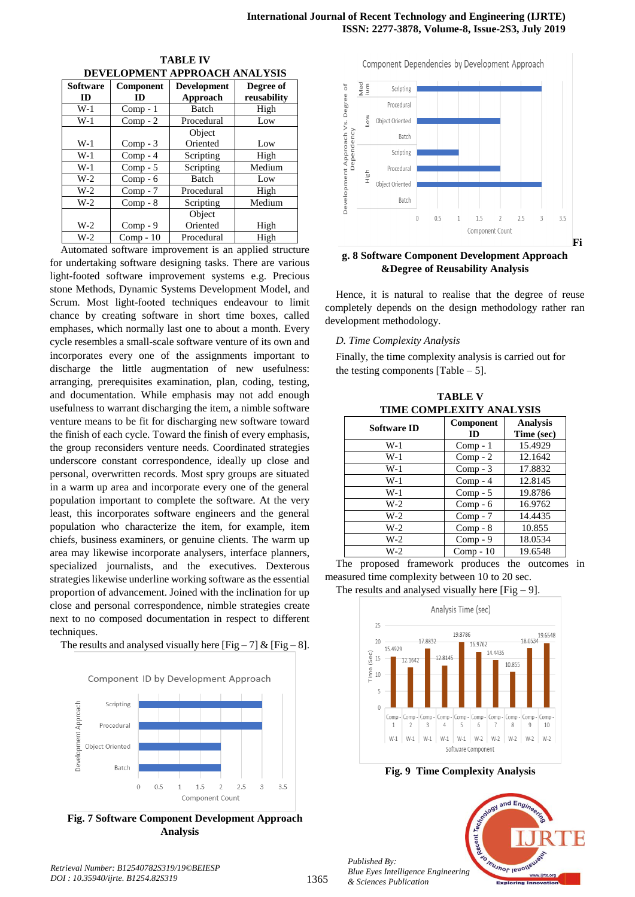| DEVELOPMENT APPROACH ANALTSIS |                        |                                |                          |  |  |
|-------------------------------|------------------------|--------------------------------|--------------------------|--|--|
| <b>Software</b><br>ID         | <b>Component</b><br>ID | <b>Development</b><br>Approach | Degree of<br>reusability |  |  |
| $W-1$                         | $Comp - 1$             | Batch                          | High                     |  |  |
| $W-1$                         | $Comp - 2$             | Procedural                     | Low                      |  |  |
|                               |                        | Object                         |                          |  |  |
| $W-1$                         | $Comp - 3$             | Oriented                       | Low                      |  |  |
| $W-1$                         | $Comp - 4$             | Scripting                      | High                     |  |  |
| $W-1$                         | $Comp - 5$             | Scripting                      | Medium                   |  |  |
| $W-2$                         | $Comp - 6$             | Batch                          | Low                      |  |  |
| $W-2$                         | $Comp - 7$             | Procedural                     | High                     |  |  |
| $W-2$                         | $Comp - 8$             | Scripting                      | Medium                   |  |  |
|                               |                        | Object                         |                          |  |  |
| $W-2$                         | $Comp - 9$             | Oriented                       | High                     |  |  |
| $W-2$                         | $Comp - 10$            | Procedural                     | High                     |  |  |

**TABLE IV DEVELOPMENT APPROACH ANALYSIS**

Automated software improvement is an applied structure for undertaking software designing tasks. There are various light-footed software improvement systems e.g. Precious stone Methods, Dynamic Systems Development Model, and Scrum. Most light-footed techniques endeavour to limit chance by creating software in short time boxes, called emphases, which normally last one to about a month. Every cycle resembles a small-scale software venture of its own and incorporates every one of the assignments important to discharge the little augmentation of new usefulness: arranging, prerequisites examination, plan, coding, testing, and documentation. While emphasis may not add enough usefulness to warrant discharging the item, a nimble software venture means to be fit for discharging new software toward the finish of each cycle. Toward the finish of every emphasis, the group reconsiders venture needs. Coordinated strategies underscore constant correspondence, ideally up close and personal, overwritten records. Most spry groups are situated in a warm up area and incorporate every one of the general population important to complete the software. At the very least, this incorporates software engineers and the general population who characterize the item, for example, item chiefs, business examiners, or genuine clients. The warm up area may likewise incorporate analysers, interface planners, specialized journalists, and the executives. Dexterous strategies likewise underline working software as the essential proportion of advancement. Joined with the inclination for up close and personal correspondence, nimble strategies create next to no composed documentation in respect to different techniques.

The results and analysed visually here  $[Fig - 7] & [Fig - 8]$ .



**Fig. 7 Software Component Development Approach Analysis**

Component Dependencies by Development Approach yed<br>um Development Approach Vs. Degree of Scripting Procedural č Object Oriented Dependency Batch Scripting Procedural Fiigh Object Oriented Batch  $\overline{0}$  $0.5$  $1.5$  $\overline{2}$  $2.5$  $3.5$ Component Count **Fi**

#### **g. 8 Software Component Development Approach &Degree of Reusability Analysis**

Hence, it is natural to realise that the degree of reuse completely depends on the design methodology rather ran development methodology.

# *D. Time Complexity Analysis*

Finally, the time complexity analysis is carried out for the testing components  $[Table - 5]$ .

**TABLE V TIME COMPLEXITY ANALYSIS**

| <b>Software ID</b> | Component<br>ID | <b>Analysis</b><br>Time (sec) |
|--------------------|-----------------|-------------------------------|
| W-1                | $Comp - 1$      | 15.4929                       |
| W-1                | $Comp - 2$      | 12.1642                       |
| $W-1$              | $Comp - 3$      | 17.8832                       |
| $W-1$              | $Comp - 4$      | 12.8145                       |
| W-1                | $Comp - 5$      | 19.8786                       |
| W-2                | $Comp - 6$      | 16.9762                       |
| W-2                | $Comp - 7$      | 14.4435                       |
| W-2                | $Comp - 8$      | 10.855                        |
| W-2                | $Comp - 9$      | 18.0534                       |
| $W-2$              | $Comp - 10$     | 19.6548                       |

The proposed framework produces the outcomes in measured time complexity between 10 to 20 sec.

The results and analysed visually here  $[Fig - 9]$ .



**Fig. 9 Time Complexity Analysis**



*Published By:*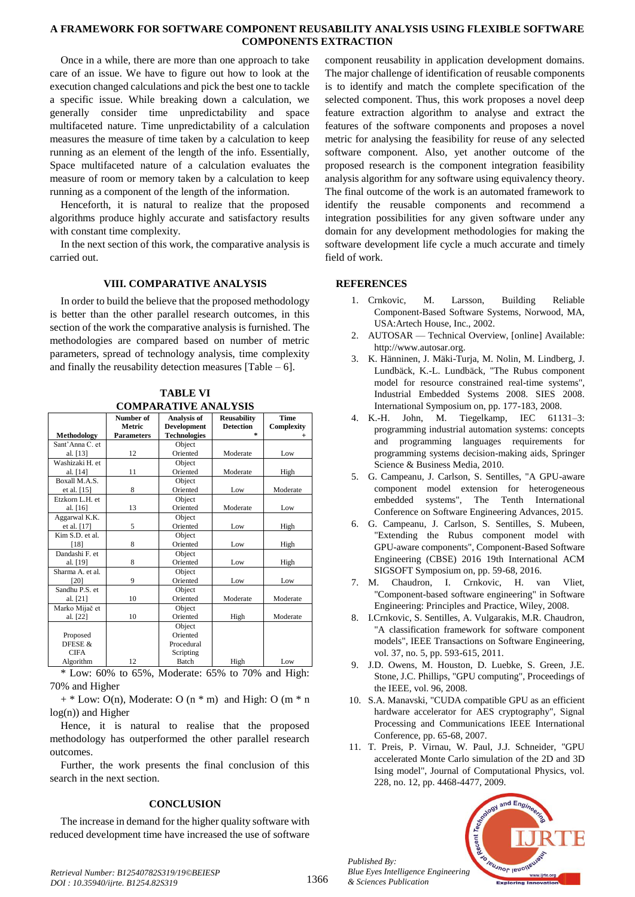Once in a while, there are more than one approach to take care of an issue. We have to figure out how to look at the execution changed calculations and pick the best one to tackle a specific issue. While breaking down a calculation, we generally consider time unpredictability and space multifaceted nature. Time unpredictability of a calculation measures the measure of time taken by a calculation to keep running as an element of the length of the info. Essentially, Space multifaceted nature of a calculation evaluates the measure of room or memory taken by a calculation to keep running as a component of the length of the information.

Henceforth, it is natural to realize that the proposed algorithms produce highly accurate and satisfactory results with constant time complexity.

In the next section of this work, the comparative analysis is carried out.

#### **VIII. COMPARATIVE ANALYSIS**

In order to build the believe that the proposed methodology is better than the other parallel research outcomes, in this section of the work the comparative analysis is furnished. The methodologies are compared based on number of metric parameters, spread of technology analysis, time complexity and finally the reusability detection measures [Table  $-6$ ].

|                    | Number of         | Analysis of         | <b>Reusability</b> | <b>Time</b> |
|--------------------|-------------------|---------------------|--------------------|-------------|
|                    | Metric            | <b>Development</b>  | <b>Detection</b>   | Complexity  |
| <b>Methodology</b> | <b>Parameters</b> | <b>Technologies</b> | $\star$            |             |
| Sant'Anna C. et    |                   | Object              |                    |             |
| al. [13]           | 12                | Oriented            | Moderate           | Low         |
| Washizaki H. et    |                   | Object              |                    |             |
| al. [14]           | 11                | Oriented            | Moderate           | High        |
| Boxall M.A.S.      |                   | Object              |                    |             |
| et al. $[15]$      | 8                 | Oriented            | Low                | Moderate    |
| Etzkorn L.H. et    |                   | Object              |                    |             |
| al. [16]           | 13                | Oriented            | Moderate           | Low         |
| Aggarwal K.K.      |                   | Object              |                    |             |
| et al. [17]        | 5                 | Oriented            | Low                | High        |
| Kim S.D. et al.    |                   | Object              |                    |             |
| [18]               | 8                 | Oriented            | Low                | High        |
| Dandashi F. et     |                   | Object              |                    |             |
| al. [19]           | 8                 | Oriented            | Low                | High        |
| Sharma A. et al.   |                   | Object              |                    |             |
| [20]               | 9                 | Oriented            | Low                | Low         |
| Sandhu P.S. et     |                   | Object              |                    |             |
| al. [21]           | 10                | Oriented            | Moderate           | Moderate    |
| Marko Mijač et     |                   | Object              |                    |             |
| al. [22]           | 10                | Oriented            | High               | Moderate    |
|                    |                   | Object              |                    |             |
| Proposed           |                   | Oriented            |                    |             |
| DFESE &            |                   | Procedural          |                    |             |
| <b>CIFA</b>        |                   | Scripting           |                    |             |
| Algorithm          | 12                | Batch               | High               | Low         |

**TABLE VI COMPARATIVE ANALYSIS**

 $*$  Low: 60% to 65%, Moderate: 65% to 70% and High: 70% and Higher

 $+$  \* Low: O(n), Moderate: O (n \* m) and High: O (m \* n) log(n)) and Higher

Hence, it is natural to realise that the proposed methodology has outperformed the other parallel research outcomes.

Further, the work presents the final conclusion of this search in the next section.

# **CONCLUSION**

The increase in demand for the higher quality software with reduced development time have increased the use of software

component reusability in application development domains. The major challenge of identification of reusable components is to identify and match the complete specification of the selected component. Thus, this work proposes a novel deep feature extraction algorithm to analyse and extract the features of the software components and proposes a novel metric for analysing the feasibility for reuse of any selected software component. Also, yet another outcome of the proposed research is the component integration feasibility analysis algorithm for any software using equivalency theory. The final outcome of the work is an automated framework to identify the reusable components and recommend a integration possibilities for any given software under any domain for any development methodologies for making the software development life cycle a much accurate and timely field of work.

#### **REFERENCES**

- 1. Crnkovic, M. Larsson, Building Reliable Component-Based Software Systems, Norwood, MA, USA:Artech House, Inc., 2002.
- 2. AUTOSAR Technical Overview, [online] Available: http://www.autosar.org.
- 3. K. Hänninen, J. Mäki-Turja, M. Nolin, M. Lindberg, J. Lundbäck, K.-L. Lundbäck, "The Rubus component model for resource constrained real-time systems", Industrial Embedded Systems 2008. SIES 2008. International Symposium on, pp. 177-183, 2008.
- 4. K.-H. John, M. Tiegelkamp, IEC 61131–3: programming industrial automation systems: concepts and programming languages requirements for programming systems decision-making aids, Springer Science & Business Media, 2010.
- 5. G. Campeanu, J. Carlson, S. Sentilles, "A GPU-aware component model extension for heterogeneous embedded systems", The Tenth International Conference on Software Engineering Advances, 2015.
- 6. G. Campeanu, J. Carlson, S. Sentilles, S. Mubeen, "Extending the Rubus component model with GPU-aware components", Component-Based Software Engineering (CBSE) 2016 19th International ACM SIGSOFT Symposium on, pp. 59-68, 2016.
- 7. M. Chaudron, I. Crnkovic, H. van Vliet, "Component-based software engineering" in Software Engineering: Principles and Practice, Wiley, 2008.
- 8. I.Crnkovic, S. Sentilles, A. Vulgarakis, M.R. Chaudron, "A classification framework for software component models", IEEE Transactions on Software Engineering, vol. 37, no. 5, pp. 593-615, 2011.
- 9. J.D. Owens, M. Houston, D. Luebke, S. Green, J.E. Stone, J.C. Phillips, "GPU computing", Proceedings of the IEEE, vol. 96, 2008.
- 10. S.A. Manavski, "CUDA compatible GPU as an efficient hardware accelerator for AES cryptography", Signal Processing and Communications IEEE International Conference, pp. 65-68, 2007.
- 11. T. Preis, P. Virnau, W. Paul, J.J. Schneider, "GPU accelerated Monte Carlo simulation of the 2D and 3D Ising model", Journal of Computational Physics, vol. 228, no. 12, pp. 4468-4477, 2009.



*Published By: Blue Eyes Intelligence Engineering & Sciences Publication*